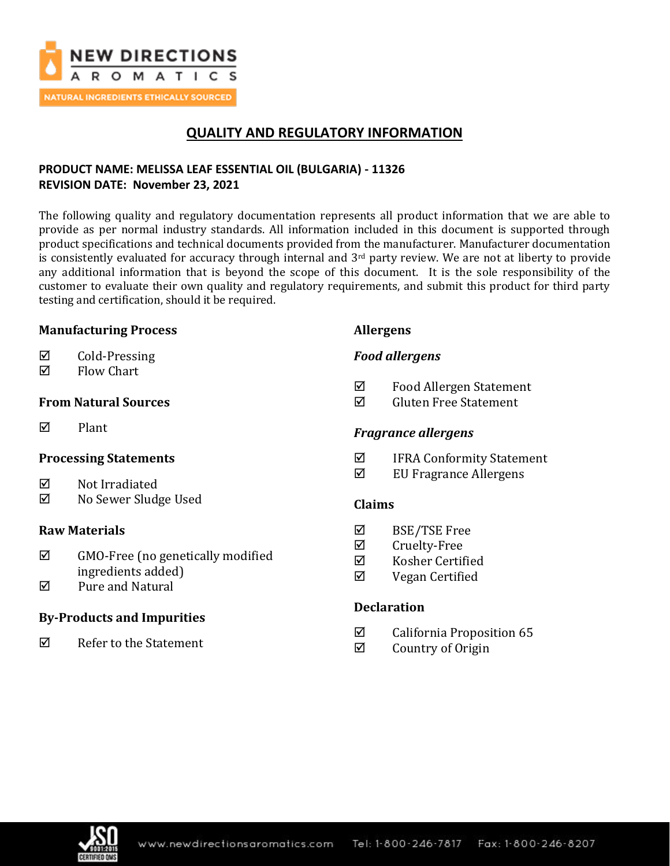

# **QUALITY AND REGULATORY INFORMATION**

# **PRODUCT NAME: MELISSA LEAF ESSENTIAL OIL (BULGARIA) - 11326 REVISION DATE: November 23, 2021**

The following quality and regulatory documentation represents all product information that we are able to provide as per normal industry standards. All information included in this document is supported through product specifications and technical documents provided from the manufacturer. Manufacturer documentation is consistently evaluated for accuracy through internal and  $3<sup>rd</sup>$  party review. We are not at liberty to provide any additional information that is beyond the scope of this document. It is the sole responsibility of the customer to evaluate their own quality and regulatory requirements, and submit this product for third party testing and certification, should it be required.

## **Manufacturing Process**

- $\boxtimes$  Cold-Pressing
- $\nabla$  Flow Chart

## **From Natural Sources**

 $\nabla$  Plant

# **Processing Statements**

- $\nabla$  Not Irradiated
- No Sewer Sludge Used

## **Raw Materials**

- $\boxtimes$  GMO-Free (no genetically modified ingredients added)
- $\boxtimes$  Pure and Natural

# **By-Products and Impurities**

 $\nabla$  Refer to the Statement

# **Allergens**

# *Food allergens*

- Food Allergen Statement
- $\boxtimes$  Gluten Free Statement

## *Fragrance allergens*

- $\boxtimes$  IFRA Conformity Statement
- $\boxtimes$  EU Fragrance Allergens

## **Claims**

- BSE/TSE Free
- $\boxtimes$  Cruelty-Free
- $\boxtimes$  Kosher Certified
- $\nabla$  Vegan Certified

# **Declaration**

- $\boxtimes$  California Proposition 65
- $\boxtimes$  Country of Origin

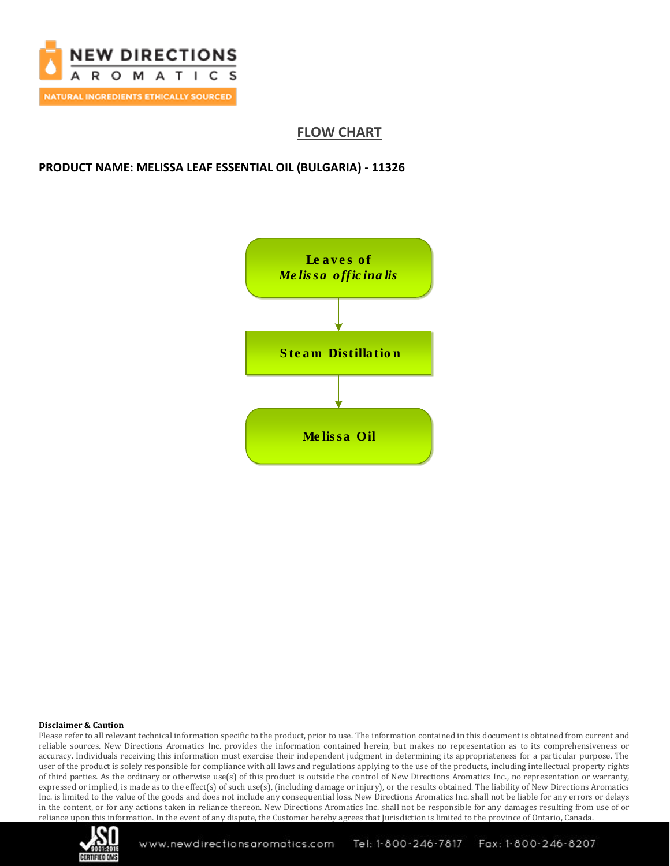

# **FLOW CHART**

### **PRODUCT NAME: MELISSA LEAF ESSENTIAL OIL (BULGARIA) - 11326**



### **Disclaimer & Caution**

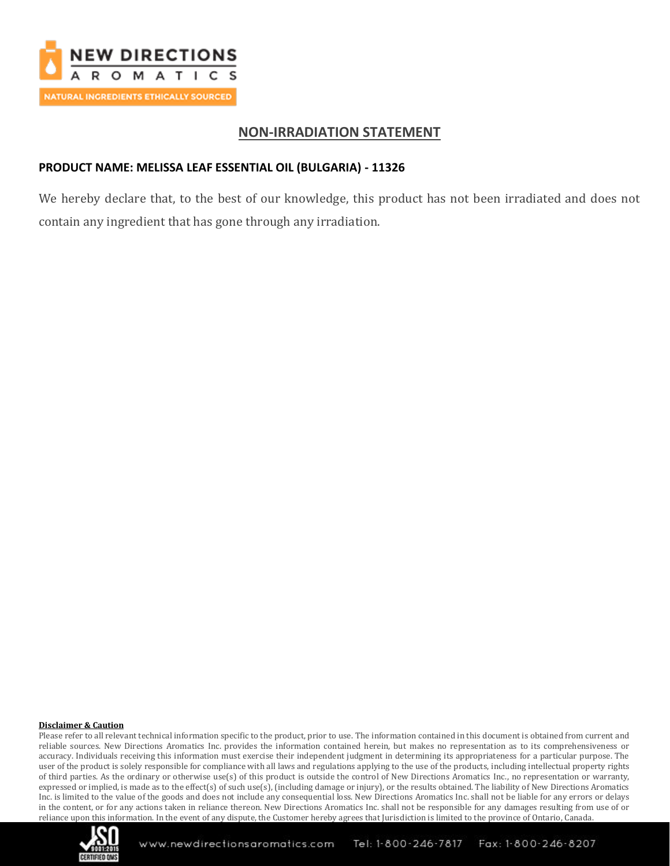

# **NON-IRRADIATION STATEMENT**

## **PRODUCT NAME: MELISSA LEAF ESSENTIAL OIL (BULGARIA) - 11326**

We hereby declare that, to the best of our knowledge, this product has not been irradiated and does not contain any ingredient that has gone through any irradiation.

### **Disclaimer & Caution**

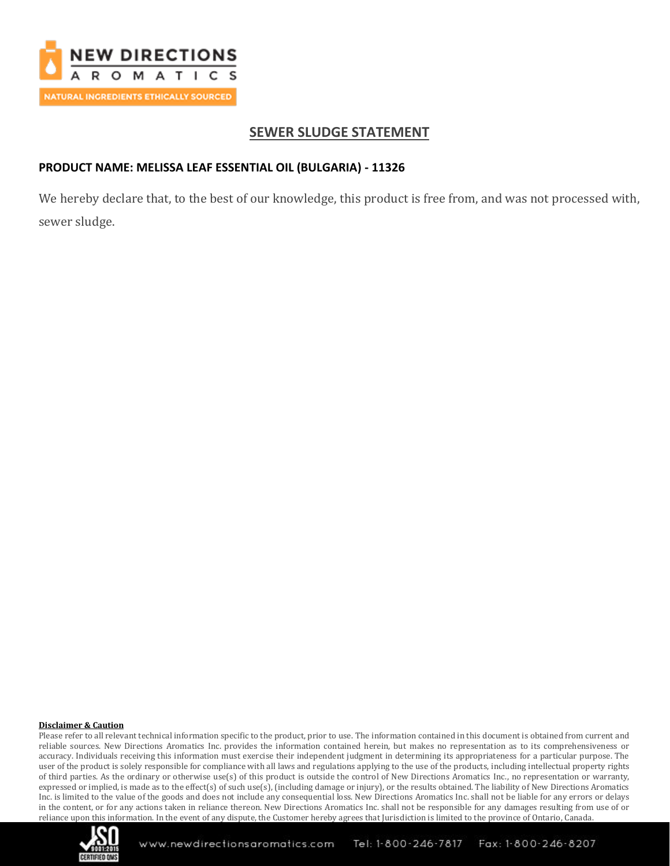

# **SEWER SLUDGE STATEMENT**

## **PRODUCT NAME: MELISSA LEAF ESSENTIAL OIL (BULGARIA) - 11326**

We hereby declare that, to the best of our knowledge, this product is free from, and was not processed with, sewer sludge.

### **Disclaimer & Caution**

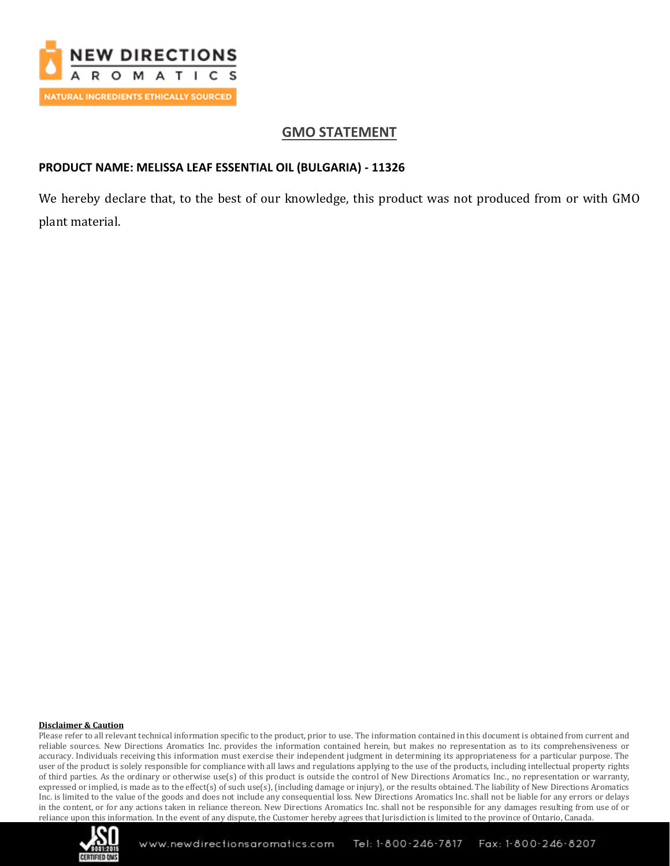

# **GMO STATEMENT**

## **PRODUCT NAME: MELISSA LEAF ESSENTIAL OIL (BULGARIA) - 11326**

We hereby declare that, to the best of our knowledge, this product was not produced from or with GMO plant material.

### **Disclaimer & Caution**

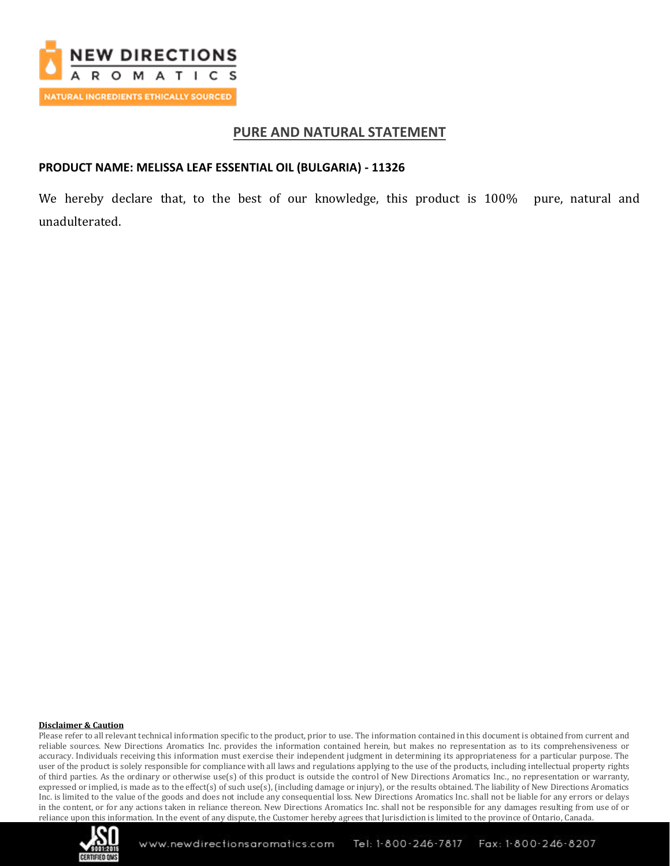

## **PURE AND NATURAL STATEMENT**

### **PRODUCT NAME: MELISSA LEAF ESSENTIAL OIL (BULGARIA) - 11326**

We hereby declare that, to the best of our knowledge, this product is 100% pure, natural and unadulterated.

#### **Disclaimer & Caution**

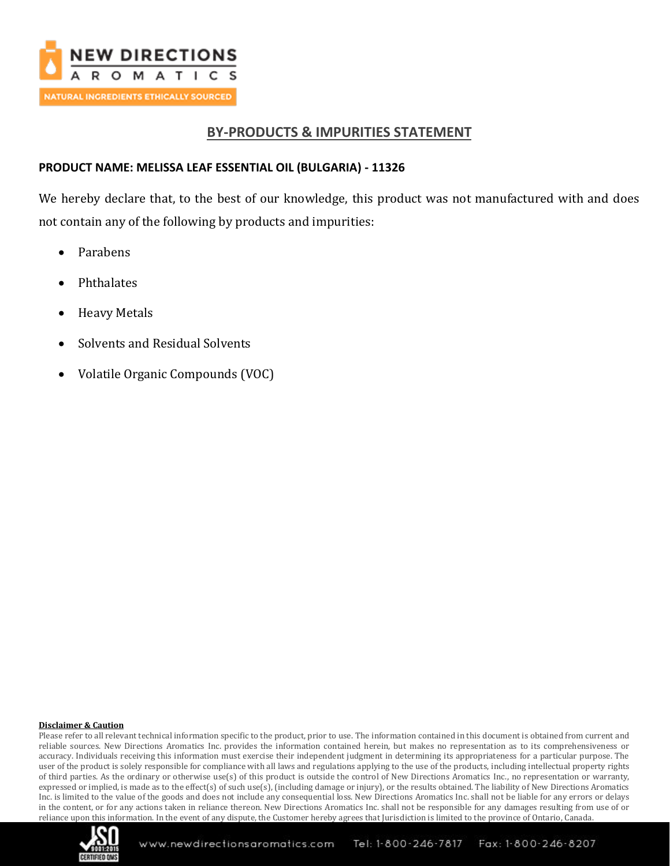

# **BY-PRODUCTS & IMPURITIES STATEMENT**

## **PRODUCT NAME: MELISSA LEAF ESSENTIAL OIL (BULGARIA) - 11326**

We hereby declare that, to the best of our knowledge, this product was not manufactured with and does not contain any of the following by products and impurities:

- Parabens
- **Phthalates**
- Heavy Metals
- Solvents and Residual Solvents
- Volatile Organic Compounds (VOC)

### **Disclaimer & Caution**

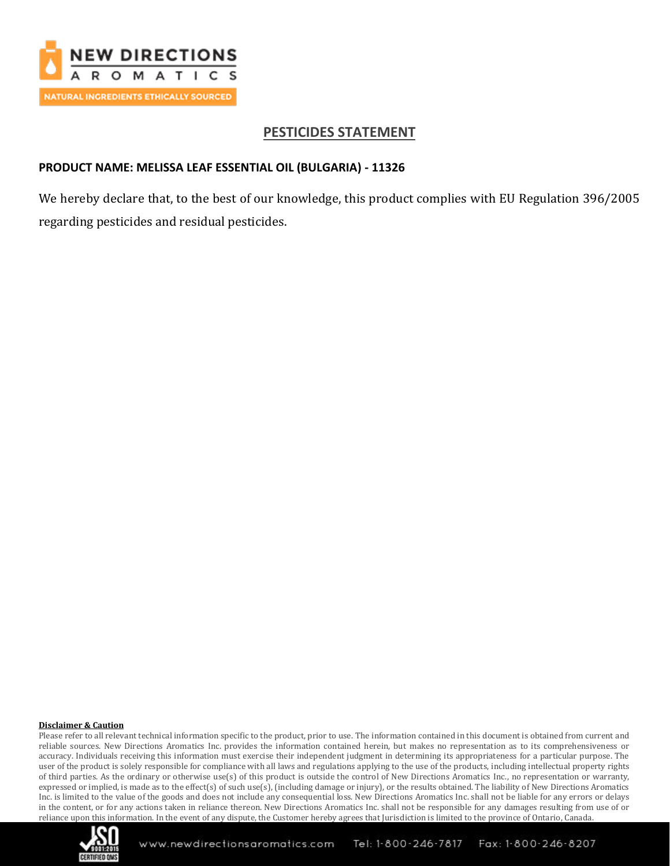

# **PESTICIDES STATEMENT**

### **PRODUCT NAME: MELISSA LEAF ESSENTIAL OIL (BULGARIA) - 11326**

We hereby declare that, to the best of our knowledge, this product complies with EU Regulation 396/2005 regarding pesticides and residual pesticides.

### **Disclaimer & Caution**

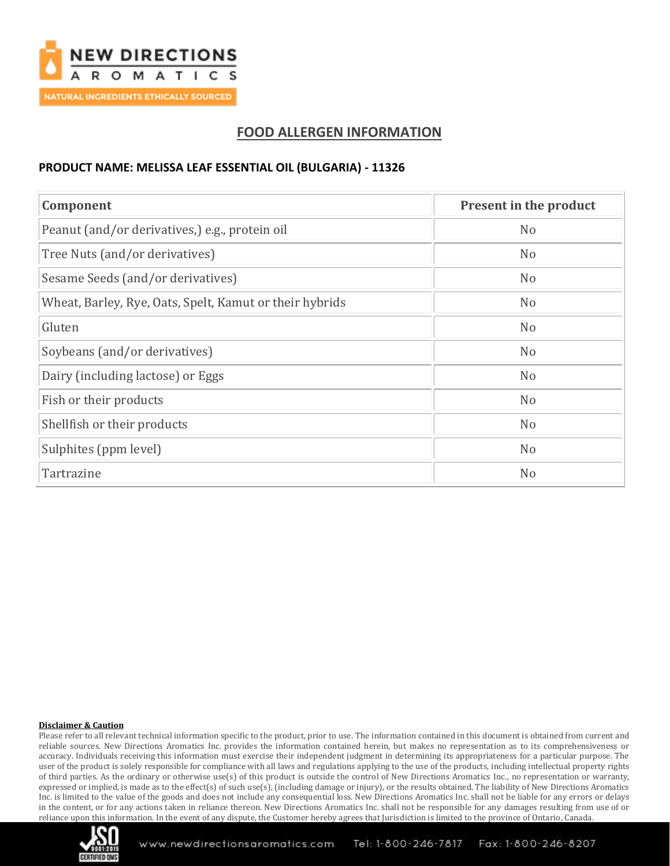

# **FOOD ALLERGEN INFORMATION**

### **PRODUCT NAME: MELISSA LEAF ESSENTIAL OIL (BULGARIA) - 11326**

| Component                                               | Present in the product |  |
|---------------------------------------------------------|------------------------|--|
| Peanut (and/or derivatives,) e.g., protein oil          | N <sub>o</sub>         |  |
| Tree Nuts (and/or derivatives)                          | N <sub>o</sub>         |  |
| Sesame Seeds (and/or derivatives)                       | N <sub>o</sub>         |  |
| Wheat, Barley, Rye, Oats, Spelt, Kamut or their hybrids | N <sub>o</sub>         |  |
| Gluten                                                  | N <sub>o</sub>         |  |
| Soybeans (and/or derivatives)                           | N <sub>o</sub>         |  |
| Dairy (including lactose) or Eggs                       | N <sub>o</sub>         |  |
| Fish or their products                                  | N <sub>o</sub>         |  |
| Shellfish or their products                             | N <sub>o</sub>         |  |
| Sulphites (ppm level)                                   | N <sub>o</sub>         |  |
| Tartrazine                                              | N <sub>o</sub>         |  |

### **Disclaimer & Caution**

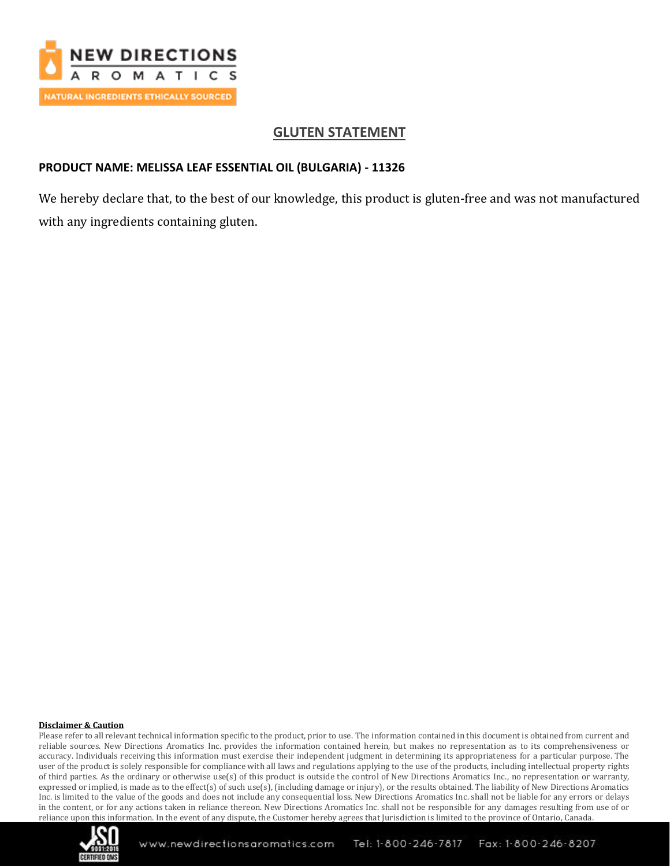

# **GLUTEN STATEMENT**

## **PRODUCT NAME: MELISSA LEAF ESSENTIAL OIL (BULGARIA) - 11326**

We hereby declare that, to the best of our knowledge, this product is gluten-free and was not manufactured with any ingredients containing gluten.

### **Disclaimer & Caution**

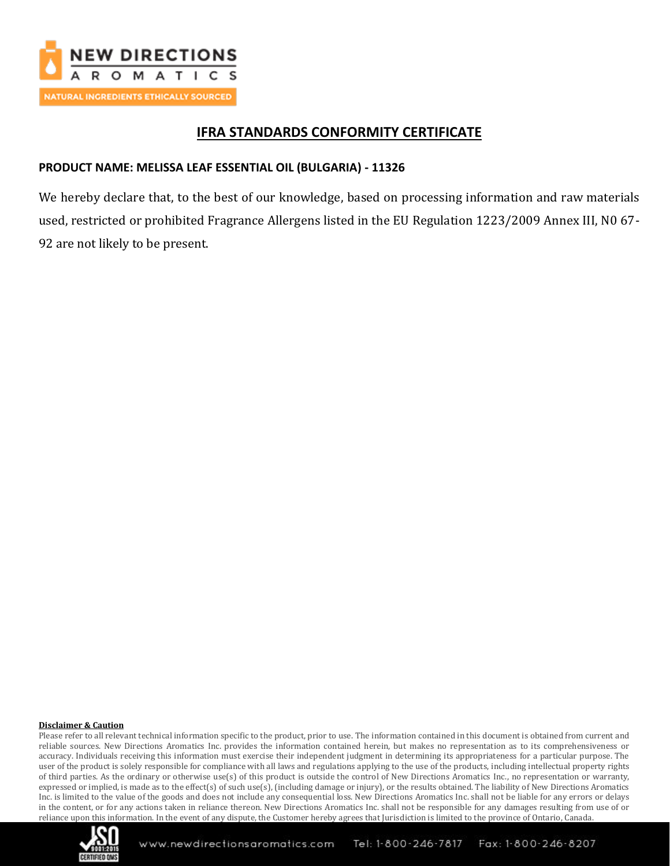

# **IFRA STANDARDS CONFORMITY CERTIFICATE**

## **PRODUCT NAME: MELISSA LEAF ESSENTIAL OIL (BULGARIA) - 11326**

We hereby declare that, to the best of our knowledge, based on processing information and raw materials used, restricted or prohibited Fragrance Allergens listed in the EU Regulation 1223/2009 Annex III, N0 67- 92 are not likely to be present.

### **Disclaimer & Caution**

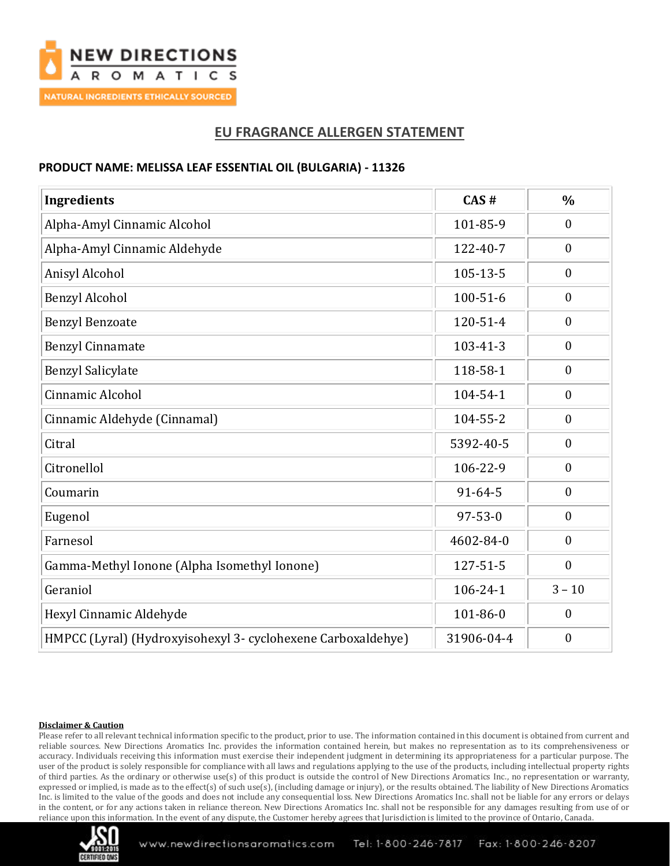

# **EU FRAGRANCE ALLERGEN STATEMENT**

### **PRODUCT NAME: MELISSA LEAF ESSENTIAL OIL (BULGARIA) - 11326**

| <b>Ingredients</b>                                           | CAS#           | $\frac{0}{0}$    |
|--------------------------------------------------------------|----------------|------------------|
| Alpha-Amyl Cinnamic Alcohol                                  | 101-85-9       | $\mathbf{0}$     |
| Alpha-Amyl Cinnamic Aldehyde                                 | 122-40-7       | $\boldsymbol{0}$ |
| Anisyl Alcohol                                               | $105 - 13 - 5$ | $\mathbf{0}$     |
| <b>Benzyl Alcohol</b>                                        | $100 - 51 - 6$ | $\boldsymbol{0}$ |
| <b>Benzyl Benzoate</b>                                       | 120-51-4       | $\boldsymbol{0}$ |
| <b>Benzyl Cinnamate</b>                                      | $103 - 41 - 3$ | $\boldsymbol{0}$ |
| <b>Benzyl Salicylate</b>                                     | 118-58-1       | $\boldsymbol{0}$ |
| Cinnamic Alcohol                                             | 104-54-1       | $\boldsymbol{0}$ |
| Cinnamic Aldehyde (Cinnamal)                                 | 104-55-2       | $\boldsymbol{0}$ |
| Citral                                                       | 5392-40-5      | $\boldsymbol{0}$ |
| Citronellol                                                  | 106-22-9       | $\boldsymbol{0}$ |
| Coumarin                                                     | $91 - 64 - 5$  | $\boldsymbol{0}$ |
| Eugenol                                                      | $97 - 53 - 0$  | $\mathbf{0}$     |
| Farnesol                                                     | 4602-84-0      | $\mathbf{0}$     |
| Gamma-Methyl Ionone (Alpha Isomethyl Ionone)                 | 127-51-5       | $\boldsymbol{0}$ |
| Geraniol                                                     | $106 - 24 - 1$ | $3 - 10$         |
| Hexyl Cinnamic Aldehyde                                      | 101-86-0       | $\mathbf{0}$     |
| HMPCC (Lyral) (Hydroxyisohexyl 3- cyclohexene Carboxaldehye) | 31906-04-4     | $\mathbf{0}$     |

#### **Disclaimer & Caution**

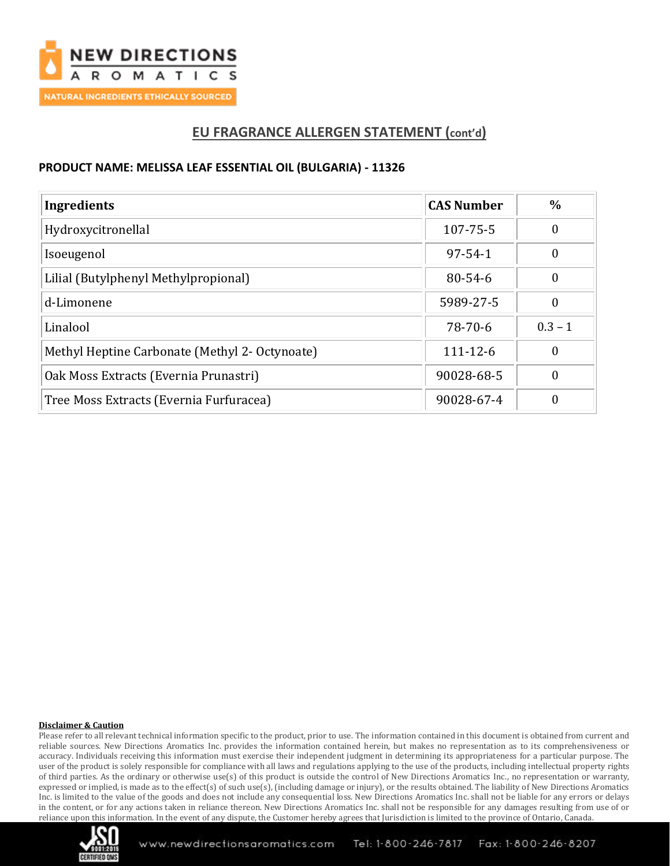

# **EU FRAGRANCE ALLERGEN STATEMENT (cont'd)**

### **PRODUCT NAME: MELISSA LEAF ESSENTIAL OIL (BULGARIA) - 11326**

| Ingredients                                    | <b>CAS Number</b> | $\frac{6}{9}$ |
|------------------------------------------------|-------------------|---------------|
| Hydroxycitronellal                             | 107-75-5          | 0             |
| Isoeugenol                                     | $97 - 54 - 1$     | 0             |
| Lilial (Butylphenyl Methylpropional)           | $80 - 54 - 6$     | 0             |
| d-Limonene                                     | 5989-27-5         | 0             |
| Linalool                                       | $78-70-6$         | $0.3 - 1$     |
| Methyl Heptine Carbonate (Methyl 2- Octynoate) | $111 - 12 - 6$    | 0             |
| Oak Moss Extracts (Evernia Prunastri)          | 90028-68-5        | 0             |
| Tree Moss Extracts (Evernia Furfuracea)        | 90028-67-4        | 0             |

### **Disclaimer & Caution**

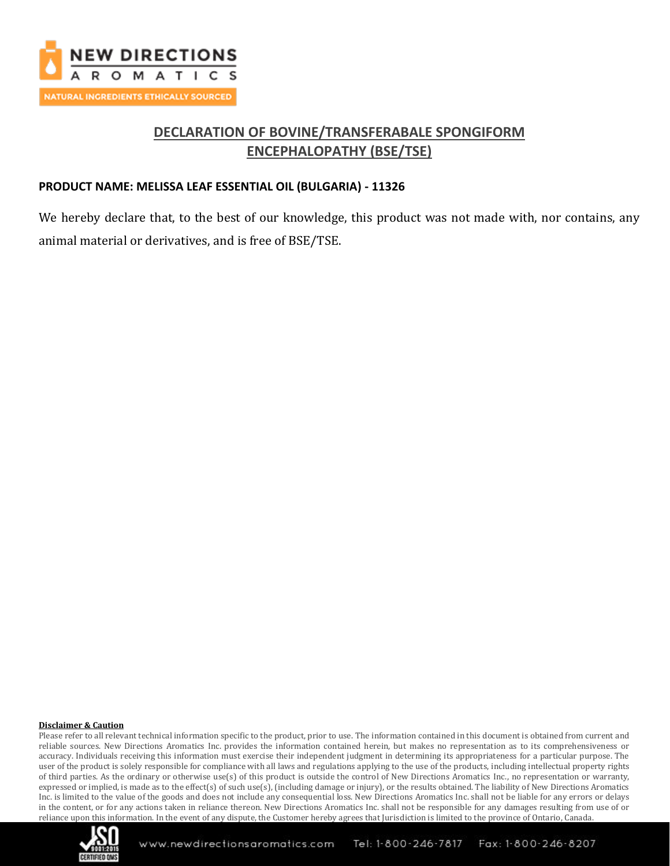

# **DECLARATION OF BOVINE/TRANSFERABALE SPONGIFORM ENCEPHALOPATHY (BSE/TSE)**

### **PRODUCT NAME: MELISSA LEAF ESSENTIAL OIL (BULGARIA) - 11326**

We hereby declare that, to the best of our knowledge, this product was not made with, nor contains, any animal material or derivatives, and is free of BSE/TSE.

### **Disclaimer & Caution**

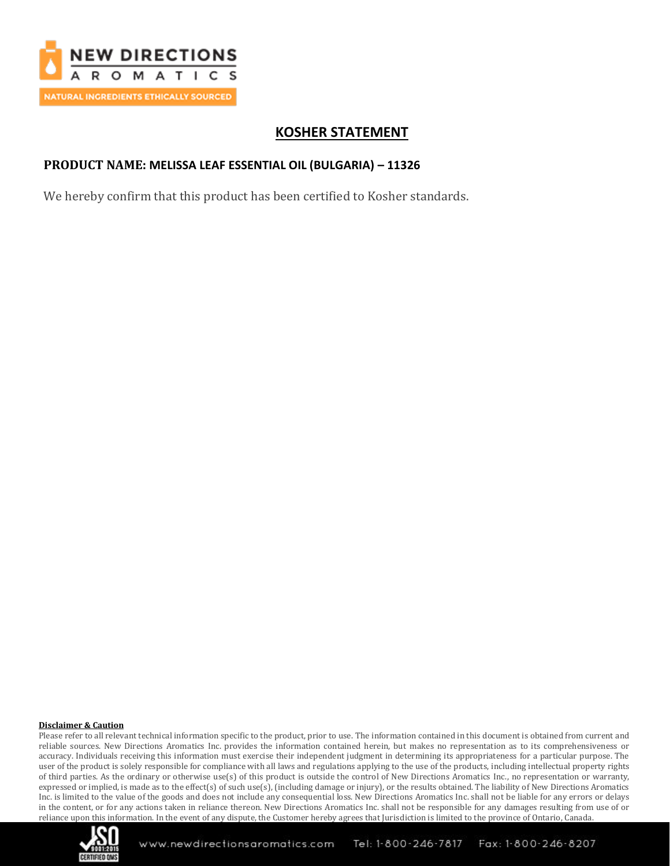

# **KOSHER STATEMENT**

## **PRODUCT NAME: MELISSA LEAF ESSENTIAL OIL (BULGARIA) – 11326**

We hereby confirm that this product has been certified to Kosher standards.

#### **Disclaimer & Caution**

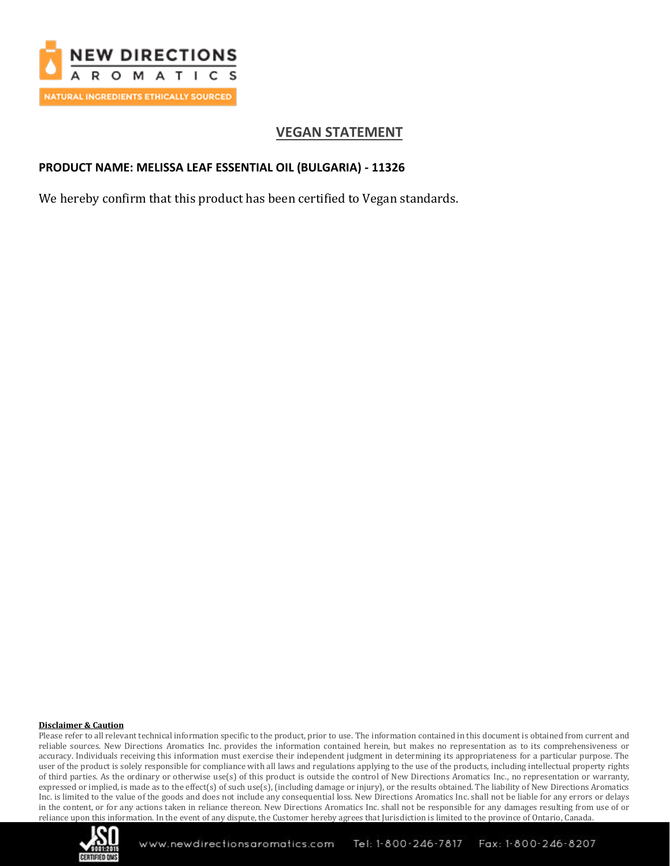

# **VEGAN STATEMENT**

## **PRODUCT NAME: MELISSA LEAF ESSENTIAL OIL (BULGARIA) - 11326**

We hereby confirm that this product has been certified to Vegan standards.

#### **Disclaimer & Caution**

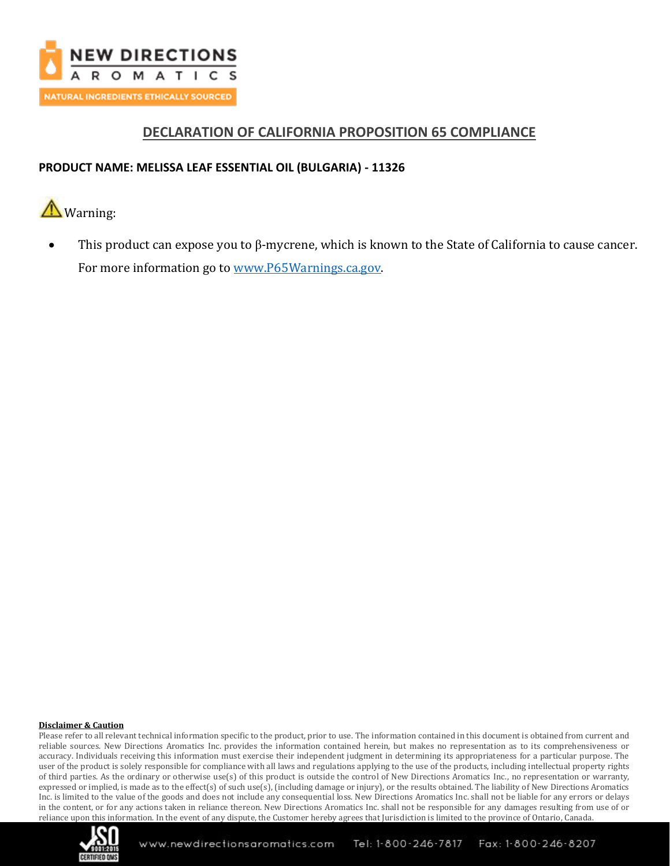

# **DECLARATION OF CALIFORNIA PROPOSITION 65 COMPLIANCE**

## **PRODUCT NAME: MELISSA LEAF ESSENTIAL OIL (BULGARIA) - 11326**



• This product can expose you to β-mycrene, which is known to the State of California to cause cancer. For more information go to [www.P65Warnings.ca.gov.](http://www.p65warnings.ca.gov/)

#### **Disclaimer & Caution**